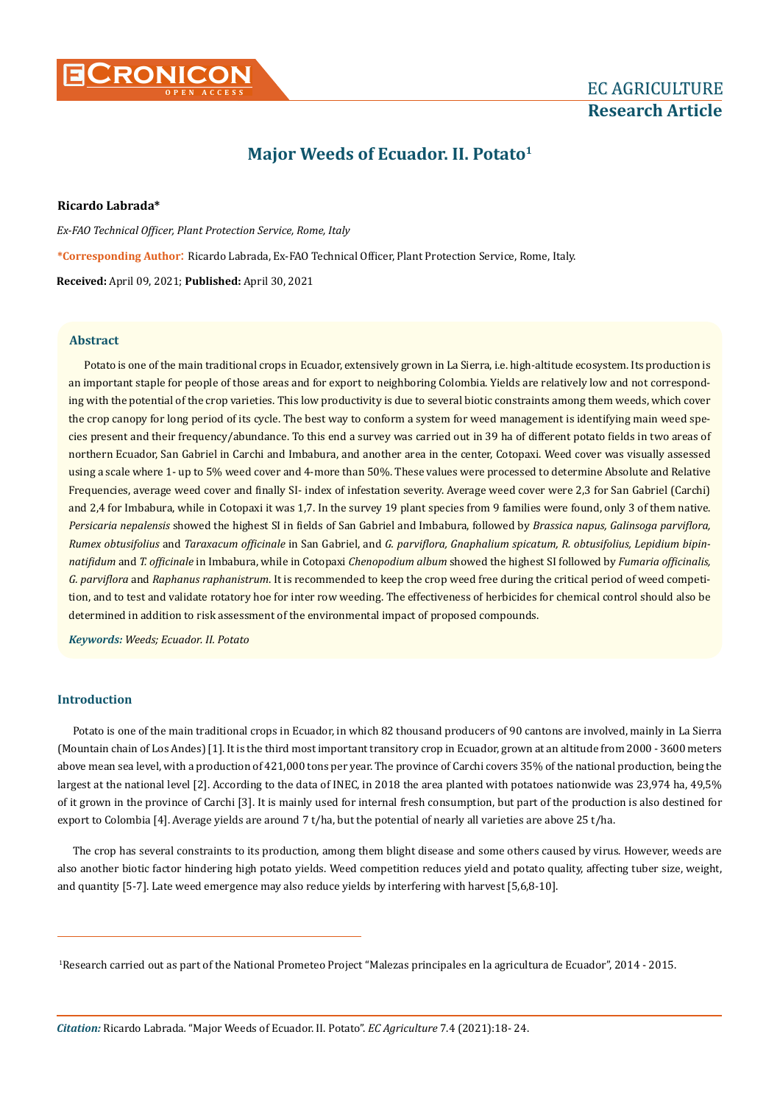

# **EC AGRICULTURE Research Article**

## **Major Weeds of Ecuador. II. Potato1**

**Ricardo Labrada\***

*Ex-FAO Technical Officer, Plant Protection Service, Rome, Italy* **\*Corresponding Author**: Ricardo Labrada, Ex-FAO Technical Officer, Plant Protection Service, Rome, Italy. **Received:** April 09, 2021; **Published:** April 30, 2021

**Abstract**

Potato is one of the main traditional crops in Ecuador, extensively grown in La Sierra, i.e. high-altitude ecosystem. Its production is an important staple for people of those areas and for export to neighboring Colombia. Yields are relatively low and not corresponding with the potential of the crop varieties. This low productivity is due to several biotic constraints among them weeds, which cover the crop canopy for long period of its cycle. The best way to conform a system for weed management is identifying main weed species present and their frequency/abundance. To this end a survey was carried out in 39 ha of different potato fields in two areas of northern Ecuador, San Gabriel in Carchi and Imbabura, and another area in the center, Cotopaxi. Weed cover was visually assessed using a scale where 1- up to 5% weed cover and 4-more than 50%. These values were processed to determine Absolute and Relative Frequencies, average weed cover and finally SI- index of infestation severity. Average weed cover were 2,3 for San Gabriel (Carchi) and 2,4 for Imbabura, while in Cotopaxi it was 1,7. In the survey 19 plant species from 9 families were found, only 3 of them native. *Persicaria nepalensis* showed the highest SI in fields of San Gabriel and Imbabura, followed by *Brassica napus, Galinsoga parviflora, Rumex obtusifolius* and *Taraxacum officinale* in San Gabriel, and *G. parviflora, Gnaphalium spicatum, R. obtusifolius, Lepidium bipinnatifidum* and *T. officinale* in Imbabura, while in Cotopaxi *Chenopodium album* showed the highest SI followed by *Fumaria officinalis, G. parviflora* and *Raphanus raphanistrum*. It is recommended to keep the crop weed free during the critical period of weed competition, and to test and validate rotatory hoe for inter row weeding. The effectiveness of herbicides for chemical control should also be determined in addition to risk assessment of the environmental impact of proposed compounds.

*Keywords: Weeds; Ecuador. II. Potato*

## **Introduction**

Potato is one of the main traditional crops in Ecuador, in which 82 thousand producers of 90 cantons are involved, mainly in La Sierra (Mountain chain of Los Andes) [1]. It is the third most important transitory crop in Ecuador, grown at an altitude from 2000 - 3600 meters above mean sea level, with a production of 421,000 tons per year. The province of Carchi covers 35% of the national production, being the largest at the national level [2]. According to the data of INEC, in 2018 the area planted with potatoes nationwide was 23,974 ha, 49,5% of it grown in the province of Carchi [3]. It is mainly used for internal fresh consumption, but part of the production is also destined for export to Colombia [4]. Average yields are around 7 t/ha, but the potential of nearly all varieties are above 25 t/ha.

The crop has several constraints to its production, among them blight disease and some others caused by virus. However, weeds are also another biotic factor hindering high potato yields. Weed competition reduces yield and potato quality, affecting tuber size, weight, and quantity [5-7]. Late weed emergence may also reduce yields by interfering with harvest [5,6,8-10].

1 Research carried out as part of the National Prometeo Project "Malezas principales en la agricultura de Ecuador", 2014 - 2015.

*Citation:* Ricardo Labrada*.* "Major Weeds of Ecuador. II. Potato". *EC Agriculture* 7.4 (2021):18- 24.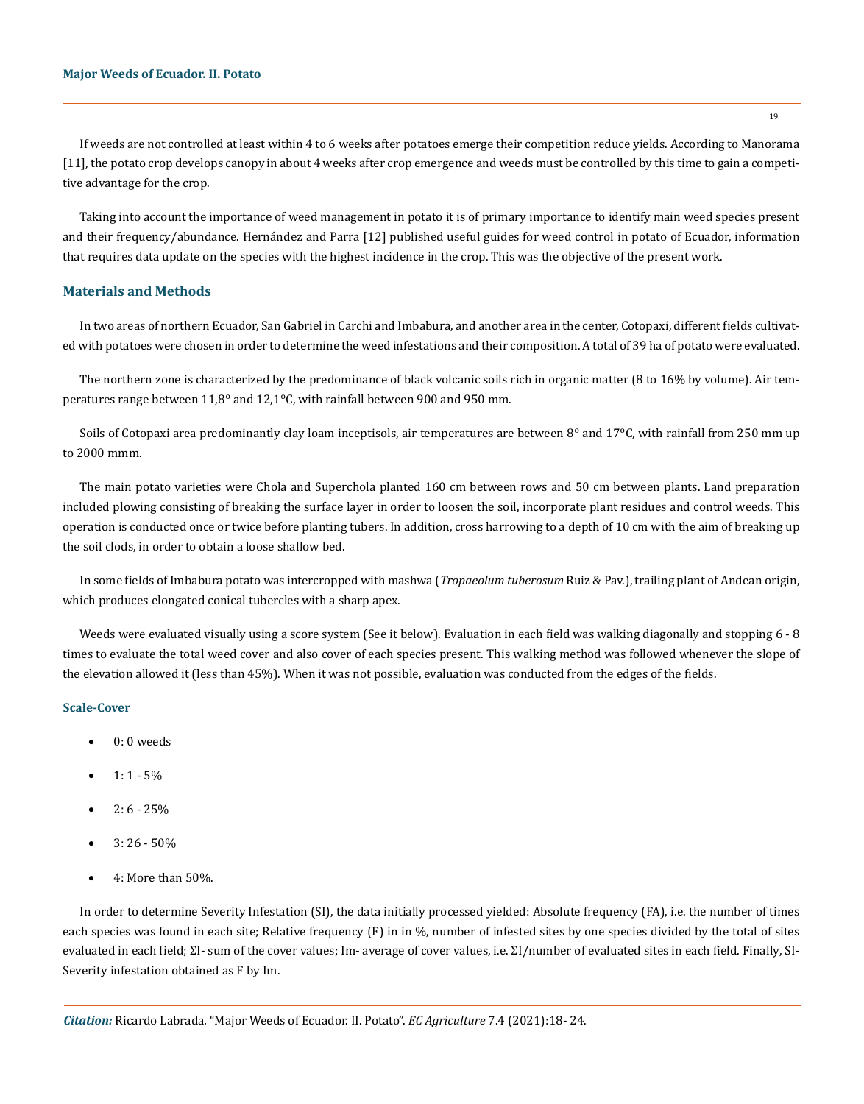If weeds are not controlled at least within 4 to 6 weeks after potatoes emerge their competition reduce yields. According to Manorama [11], the potato crop develops canopy in about 4 weeks after crop emergence and weeds must be controlled by this time to gain a competitive advantage for the crop.

Taking into account the importance of weed management in potato it is of primary importance to identify main weed species present and their frequency/abundance. Hernández and Parra [12] published useful guides for weed control in potato of Ecuador, information that requires data update on the species with the highest incidence in the crop. This was the objective of the present work.

## **Materials and Methods**

In two areas of northern Ecuador, San Gabriel in Carchi and Imbabura, and another area in the center, Cotopaxi, different fields cultivated with potatoes were chosen in order to determine the weed infestations and their composition. A total of 39 ha of potato were evaluated.

The northern zone is characterized by the predominance of black volcanic soils rich in organic matter (8 to 16% by volume). Air temperatures range between  $11.8^{\circ}$  and  $12.1^{\circ}$ C, with rainfall between 900 and 950 mm.

Soils of Cotopaxi area predominantly clay loam inceptisols, air temperatures are between  $8^{\circ}$  and  $17^{\circ}$ C, with rainfall from 250 mm up to 2000 mmm.

The main potato varieties were Chola and Superchola planted 160 cm between rows and 50 cm between plants. Land preparation included plowing consisting of breaking the surface layer in order to loosen the soil, incorporate plant residues and control weeds. This operation is conducted once or twice before planting tubers. In addition, cross harrowing to a depth of 10 cm with the aim of breaking up the soil clods, in order to obtain a loose shallow bed.

In some fields of Imbabura potato was intercropped with mashwa (*Tropaeolum tuberosum* Ruiz & Pav.), trailing plant of Andean origin, which produces elongated conical tubercles with a sharp apex.

Weeds were evaluated visually using a score system (See it below). Evaluation in each field was walking diagonally and stopping 6 - 8 times to evaluate the total weed cover and also cover of each species present. This walking method was followed whenever the slope of the elevation allowed it (less than 45%). When it was not possible, evaluation was conducted from the edges of the fields.

## **Scale-Cover**

- $0:0$  weeds
- $1: 1 5\%$
- $2: 6 25%$
- $3: 26 50%$
- 4: More than 50%.

In order to determine Severity Infestation (SI), the data initially processed yielded: Absolute frequency (FA), i.e. the number of times each species was found in each site; Relative frequency (F) in in %, number of infested sites by one species divided by the total of sites evaluated in each field; ΣI- sum of the cover values; Im- average of cover values, i.e. ΣI/number of evaluated sites in each field. Finally, SI-Severity infestation obtained as F by Im.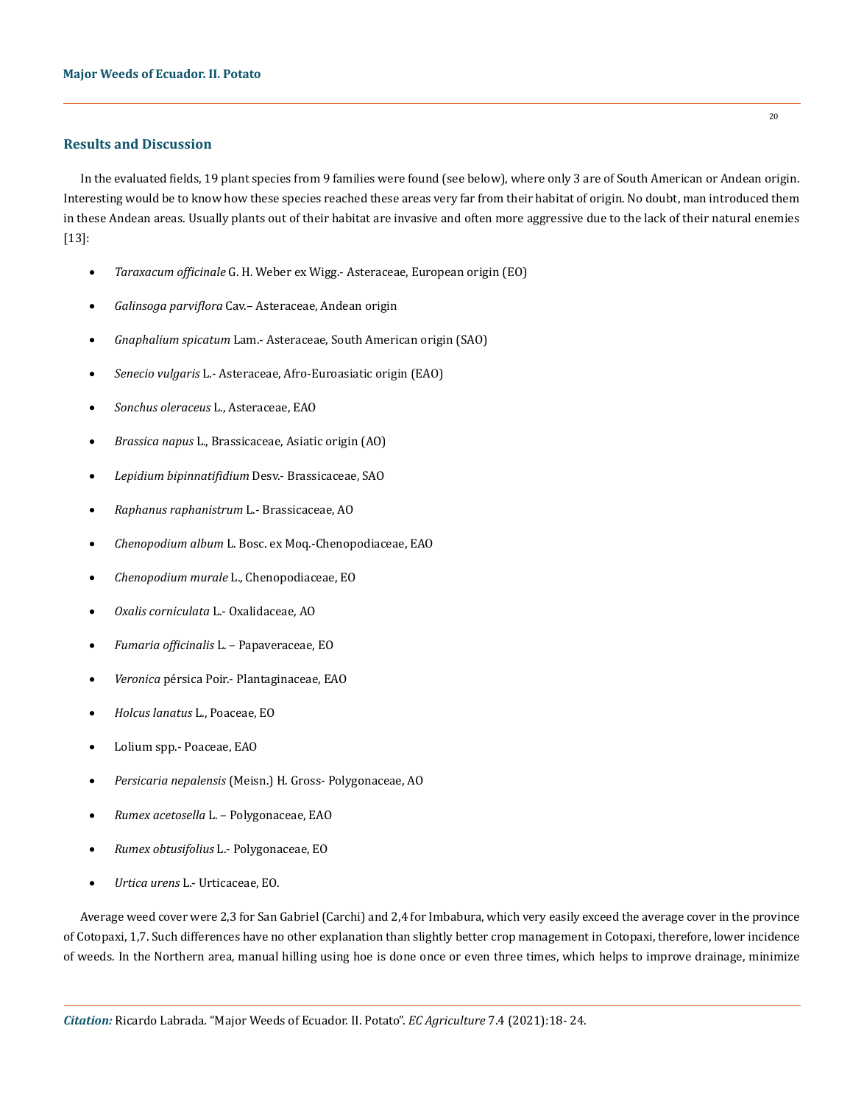## **Results and Discussion**

In the evaluated fields, 19 plant species from 9 families were found (see below), where only 3 are of South American or Andean origin. Interesting would be to know how these species reached these areas very far from their habitat of origin. No doubt, man introduced them in these Andean areas. Usually plants out of their habitat are invasive and often more aggressive due to the lack of their natural enemies [13]:

- Taraxacum officinale G. H. Weber ex Wigg.- Asteraceae, European origin (EO)
- Galinsoga parviflora Cav.- Asteraceae, Andean origin
- • *Gnaphalium spicatum* Lam.- Asteraceae, South American origin (SAO)
- Senecio vulgaris L.- Asteraceae, Afro-Euroasiatic origin (EAO)
- Sonchus oleraceus L., Asteraceae, EAO
- Brassica napus L., Brassicaceae, Asiatic origin (AO)
- • *Lepidium bipinnatifidium* Desv.- Brassicaceae, SAO
- • *Raphanus raphanistrum* L.- Brassicaceae, AO
- • *Chenopodium album* L. Bosc. ex Moq.-Chenopodiaceae, EAO
- • *Chenopodium murale* L., Chenopodiaceae, EO
- • *Oxalis corniculata* L.- Oxalidaceae, AO
- • *Fumaria officinalis* L. Papaveraceae, EO
- *Veronica* pérsica Poir.- Plantaginaceae, EAO
- • *Holcus lanatus* L., Poaceae, EO
- Lolium spp.- Poaceae, EAO
- • *Persicaria nepalensis* (Meisn.) H. Gross- Polygonaceae, AO
- • *Rumex acetosella* L. Polygonaceae, EAO
- • *Rumex obtusifolius* L.- Polygonaceae, EO
- • *Urtica urens* L.- Urticaceae, EO.

Average weed cover were 2,3 for San Gabriel (Carchi) and 2,4 for Imbabura, which very easily exceed the average cover in the province of Cotopaxi, 1,7. Such differences have no other explanation than slightly better crop management in Cotopaxi, therefore, lower incidence of weeds. In the Northern area, manual hilling using hoe is done once or even three times, which helps to improve drainage, minimize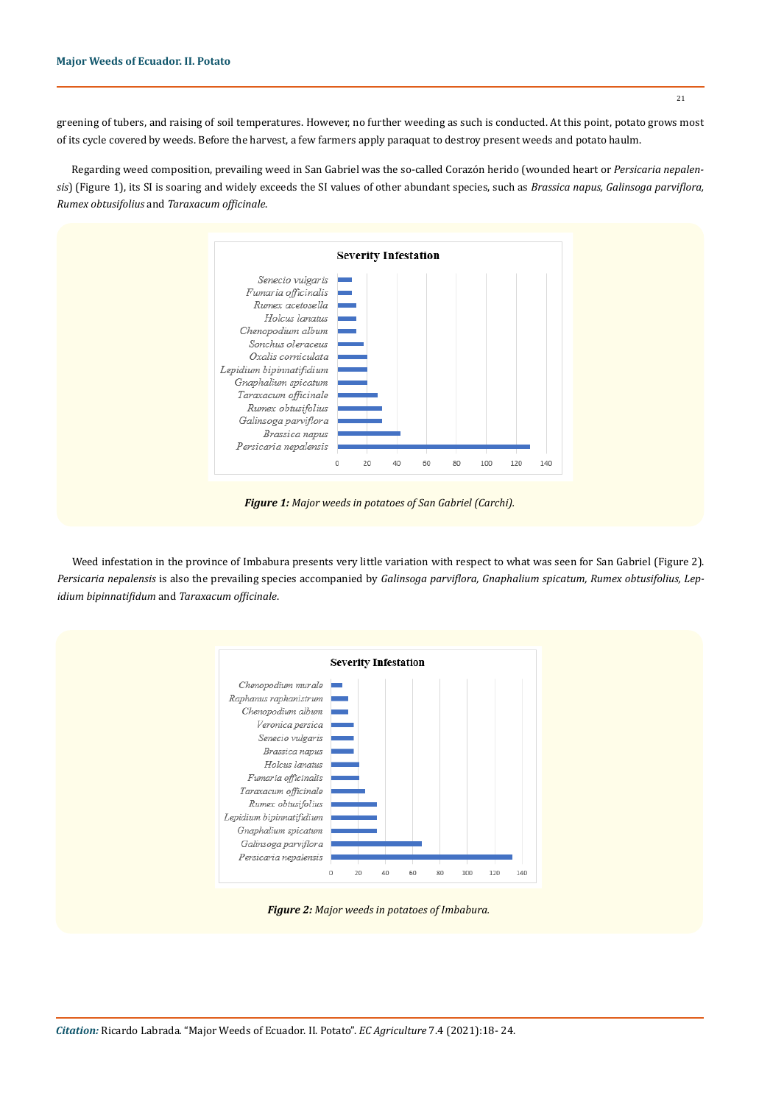greening of tubers, and raising of soil temperatures. However, no further weeding as such is conducted. At this point, potato grows most of its cycle covered by weeds. Before the harvest, a few farmers apply paraquat to destroy present weeds and potato haulm.

Regarding weed composition, prevailing weed in San Gabriel was the so-called Corazón herido (wounded heart or *Persicaria nepalensis*) (Figure 1), its SI is soaring and widely exceeds the SI values of other abundant species, such as *Brassica napus, Galinsoga parviflora, Rumex obtusifolius* and *Taraxacum officinale*.



*Figure 1: Major weeds in potatoes of San Gabriel (Carchi).*

Weed infestation in the province of Imbabura presents very little variation with respect to what was seen for San Gabriel (Figure 2). *Persicaria nepalensis* is also the prevailing species accompanied by *Galinsoga parviflora, Gnaphalium spicatum, Rumex obtusifolius, Lepidium bipinnatifidum* and *Taraxacum officinale*.



*Figure 2: Major weeds in potatoes of Imbabura.*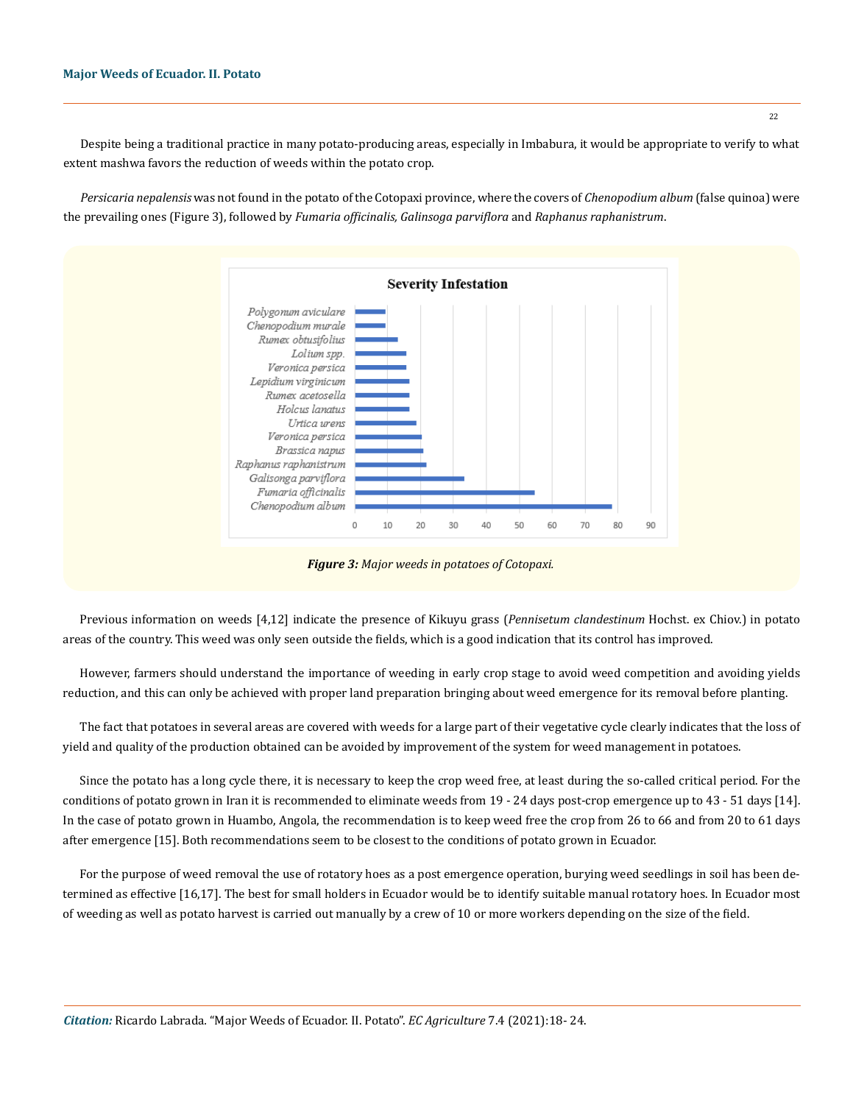Despite being a traditional practice in many potato-producing areas, especially in Imbabura, it would be appropriate to verify to what extent mashwa favors the reduction of weeds within the potato crop.

*Persicaria nepalensis* was not found in the potato of the Cotopaxi province, where the covers of *Chenopodium album* (false quinoa) were the prevailing ones (Figure 3), followed by *Fumaria officinalis, Galinsoga parviflora* and *Raphanus raphanistrum*.



Previous information on weeds [4,12] indicate the presence of Kikuyu grass (*Pennisetum clandestinum* Hochst. ex Chiov.) in potato areas of the country. This weed was only seen outside the fields, which is a good indication that its control has improved.

However, farmers should understand the importance of weeding in early crop stage to avoid weed competition and avoiding yields reduction, and this can only be achieved with proper land preparation bringing about weed emergence for its removal before planting.

The fact that potatoes in several areas are covered with weeds for a large part of their vegetative cycle clearly indicates that the loss of yield and quality of the production obtained can be avoided by improvement of the system for weed management in potatoes.

Since the potato has a long cycle there, it is necessary to keep the crop weed free, at least during the so-called critical period. For the conditions of potato grown in Iran it is recommended to eliminate weeds from 19 - 24 days post-crop emergence up to 43 - 51 days [14]. In the case of potato grown in Huambo, Angola, the recommendation is to keep weed free the crop from 26 to 66 and from 20 to 61 days after emergence [15]. Both recommendations seem to be closest to the conditions of potato grown in Ecuador.

For the purpose of weed removal the use of rotatory hoes as a post emergence operation, burying weed seedlings in soil has been determined as effective [16,17]. The best for small holders in Ecuador would be to identify suitable manual rotatory hoes. In Ecuador most of weeding as well as potato harvest is carried out manually by a crew of 10 or more workers depending on the size of the field.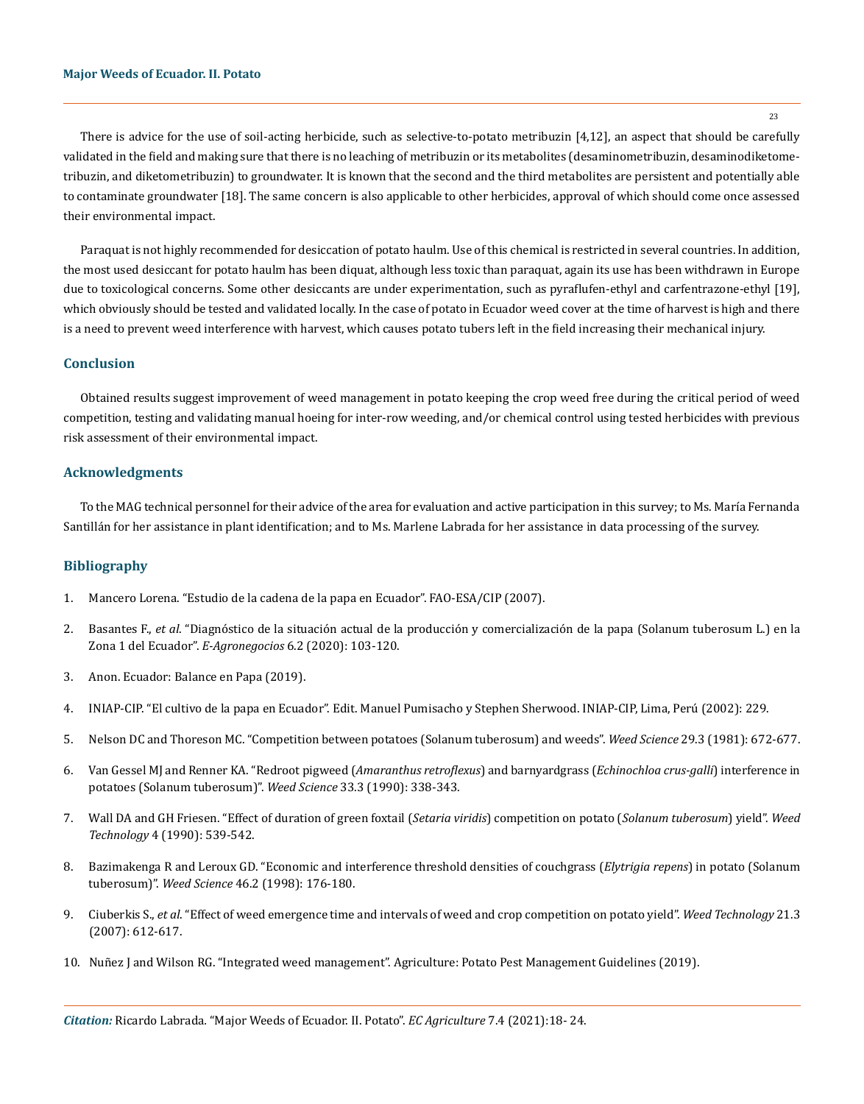23

There is advice for the use of soil-acting herbicide, such as selective-to-potato metribuzin [4,12], an aspect that should be carefully validated in the field and making sure that there is no leaching of metribuzin or its metabolites (desaminometribuzin, desaminodiketometribuzin, and diketometribuzin) to groundwater. It is known that the second and the third metabolites are persistent and potentially able to contaminate groundwater [18]. The same concern is also applicable to other herbicides, approval of which should come once assessed their environmental impact.

Paraquat is not highly recommended for desiccation of potato haulm. Use of this chemical is restricted in several countries. In addition, the most used desiccant for potato haulm has been diquat, although less toxic than paraquat, again its use has been withdrawn in Europe due to toxicological concerns. Some other desiccants are under experimentation, such as pyraflufen-ethyl and carfentrazone-ethyl [19], which obviously should be tested and validated locally. In the case of potato in Ecuador weed cover at the time of harvest is high and there is a need to prevent weed interference with harvest, which causes potato tubers left in the field increasing their mechanical injury.

## **Conclusion**

Obtained results suggest improvement of weed management in potato keeping the crop weed free during the critical period of weed competition, testing and validating manual hoeing for inter-row weeding, and/or chemical control using tested herbicides with previous risk assessment of their environmental impact.

### **Acknowledgments**

To the MAG technical personnel for their advice of the area for evaluation and active participation in this survey; to Ms. María Fernanda Santillán for her assistance in plant identification; and to Ms. Marlene Labrada for her assistance in data processing of the survey.

## **Bibliography**

- 1. [Mancero Lorena. "Estudio de la cadena de la papa en Ecuador". FAO-ESA/CIP \(2007\).](http://www.fao.org/fileadmin/templates/esa/LISFAME/Documents/Ecuador/cadena_papa.pdf)
- 2. Basantes F., *et al*[. "Diagnóstico de la situación actual de la producción y comercialización de la papa \(Solanum tuberosum L.\) en la](https://revistas.tec.ac.cr/index.php/eagronegocios/article/view/5103) Zona 1 del Ecuador". *E-Agronegocios* [6.2 \(2020\): 103-120.](https://revistas.tec.ac.cr/index.php/eagronegocios/article/view/5103)
- 3. Anon. Ecuador: Balance en Papa (2019).
- 4. INIAP-CIP. "El cultivo de la papa en Ecuador". Edit. Manuel Pumisacho y Stephen Sherwood. INIAP-CIP, Lima, Perú (2002): 229.
- 5. [Nelson DC and Thoreson MC. "Competition between potatoes \(Solanum tuberosum\) and weeds".](https://www.jstor.org/stable/4043475) *Weed Science* 29.3 (1981): 672-677.
- 6. [Van Gessel MJ and Renner KA. "Redroot pigweed \(](https://www.cambridge.org/core/journals/weed-science/article/abs/redroot-pigweed-amaranthus-retroflexus-and-barnyardgrass-echinochloa-crusgalli-interference-in-potatoes-solanum-tuberosum/16DC006B0F566FE44E794450AE7321AF)*Amaranthus retroflexus*) and barnyardgrass (*Echinochloa crus-galli*) interference in [potatoes \(Solanum tuberosum\)".](https://www.cambridge.org/core/journals/weed-science/article/abs/redroot-pigweed-amaranthus-retroflexus-and-barnyardgrass-echinochloa-crusgalli-interference-in-potatoes-solanum-tuberosum/16DC006B0F566FE44E794450AE7321AF) *Weed Science* 33.3 (1990): 338-343.
- 7. [Wall DA and GH Friesen. "Effect of duration of green foxtail \(](https://www.jstor.org/stable/3987505)*Setaria viridis*) competition on potato (*Solanum tuberosum*) yield". *Weed Technology* [4 \(1990\): 539-542.](https://www.jstor.org/stable/3987505)
- 8. [Bazimakenga R and Leroux GD. "Economic and interference threshold densities of couchgrass \(](https://agris.fao.org/agris-search/search.do?recordID=US1999005028)*Elytrigia repens*) in potato (Solanum tuberosum)". *Weed Science* [46.2 \(1998\): 176-180.](https://agris.fao.org/agris-search/search.do?recordID=US1999005028)
- 9. Ciuberkis S., *et al*[. "Effect of weed emergence time and intervals of weed and crop competition on potato yield".](https://www.jstor.org/stable/4495906) *Weed Technology* 21.3 [\(2007\): 612-617.](https://www.jstor.org/stable/4495906)
- 10. Nuñez J and Wilson RG. "Integrated weed management". Agriculture: Potato Pest Management Guidelines (2019).